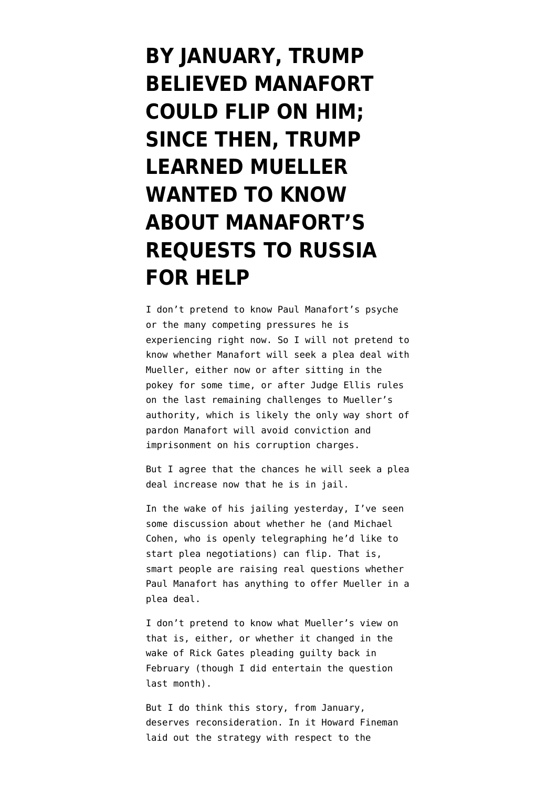**[BY JANUARY, TRUMP](https://www.emptywheel.net/2018/06/16/before-january-trump-suggested-manafort-could-flip-on-him-since-then-trump-learned-mueller-wanted-to-know-about-manaforts-requests-to-russia-for-help/) [BELIEVED MANAFORT](https://www.emptywheel.net/2018/06/16/before-january-trump-suggested-manafort-could-flip-on-him-since-then-trump-learned-mueller-wanted-to-know-about-manaforts-requests-to-russia-for-help/) [COULD FLIP ON HIM;](https://www.emptywheel.net/2018/06/16/before-january-trump-suggested-manafort-could-flip-on-him-since-then-trump-learned-mueller-wanted-to-know-about-manaforts-requests-to-russia-for-help/) [SINCE THEN, TRUMP](https://www.emptywheel.net/2018/06/16/before-january-trump-suggested-manafort-could-flip-on-him-since-then-trump-learned-mueller-wanted-to-know-about-manaforts-requests-to-russia-for-help/) [LEARNED MUELLER](https://www.emptywheel.net/2018/06/16/before-january-trump-suggested-manafort-could-flip-on-him-since-then-trump-learned-mueller-wanted-to-know-about-manaforts-requests-to-russia-for-help/) [WANTED TO KNOW](https://www.emptywheel.net/2018/06/16/before-january-trump-suggested-manafort-could-flip-on-him-since-then-trump-learned-mueller-wanted-to-know-about-manaforts-requests-to-russia-for-help/) [ABOUT MANAFORT'S](https://www.emptywheel.net/2018/06/16/before-january-trump-suggested-manafort-could-flip-on-him-since-then-trump-learned-mueller-wanted-to-know-about-manaforts-requests-to-russia-for-help/) [REQUESTS TO RUSSIA](https://www.emptywheel.net/2018/06/16/before-january-trump-suggested-manafort-could-flip-on-him-since-then-trump-learned-mueller-wanted-to-know-about-manaforts-requests-to-russia-for-help/) [FOR HELP](https://www.emptywheel.net/2018/06/16/before-january-trump-suggested-manafort-could-flip-on-him-since-then-trump-learned-mueller-wanted-to-know-about-manaforts-requests-to-russia-for-help/)**

I don't pretend to know Paul Manafort's psyche or the many competing pressures he is experiencing right now. So I will not pretend to know whether Manafort will seek a plea deal with Mueller, either now or after sitting in the pokey for some time, or after Judge Ellis rules on the last remaining challenges to Mueller's authority, which is likely the only way short of pardon Manafort will avoid conviction and imprisonment on his corruption charges.

But I agree that the chances he will seek a plea deal increase now that he is in jail.

In the wake of his jailing yesterday, I've seen some discussion about whether he (and Michael Cohen, who is [openly telegraphing](https://www.cnn.com/2018/06/15/politics/michael-cohen-cooperation-federal-investigators/index.html) he'd like to start plea negotiations) can flip. That is, smart people are raising real questions whether Paul Manafort has anything to offer Mueller in a plea deal.

I don't pretend to know what Mueller's view on that is, either, or whether it changed in the wake of Rick Gates pleading guilty back in February (though I did [entertain the question](https://www.emptywheel.net/2018/05/06/did-muellers-team-decide-they-no-longer-need-manafort-to-flip/) last month).

But I do think [this story,](https://www.nbcnews.com/storyline/2018-state-of-the-union-address/state-donald-trump-he-thinks-it-couldn-t-be-better-n842501) from January, deserves reconsideration. In it Howard Fineman [laid out](https://www.nbcnews.com/storyline/2018-state-of-the-union-address/state-donald-trump-he-thinks-it-couldn-t-be-better-n842501) the strategy with respect to the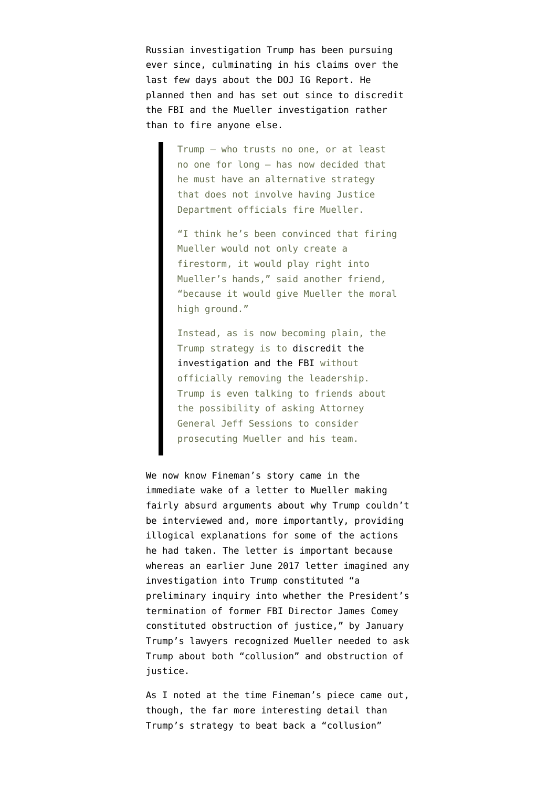Russian investigation Trump has been pursuing ever since, culminating in his claims over the last few days about the DOJ IG Report. He planned then and has set out since to discredit the FBI and the Mueller investigation rather than to fire anyone else.

> Trump — who trusts no one, or at least no one for long — has now decided that he must have an alternative strategy that does not involve having Justice Department officials fire Mueller.

"I think he's been convinced that firing Mueller would not only create a firestorm, it would play right into Mueller's hands," said another friend, "because it would give Mueller the moral high ground."

Instead, as is now becoming plain, the Trump strategy is to [discredit the](https://www.nbcnews.com/politics/donald-trump/trump-s-gripes-against-mccabe-included-wife-s-politics-comey-n842161) [investigation and the FBI](https://www.nbcnews.com/politics/donald-trump/trump-s-gripes-against-mccabe-included-wife-s-politics-comey-n842161) without officially removing the leadership. Trump is even talking to friends about the possibility of asking Attorney General Jeff Sessions to consider prosecuting Mueller and his team.

We now know Fineman's story came in the immediate wake of a [letter](https://www.nytimes.com/interactive/2018/06/02/us/politics/trump-legal-documents.html) to Mueller making fairly absurd arguments about why Trump couldn't be interviewed and, more importantly, [providing](https://www.emptywheel.net/2018/06/03/the-giant-holes-in-trumps-mike-flynn-story-point-to-collusion-not-obstruction/) [illogical explanations](https://www.emptywheel.net/2018/06/03/the-giant-holes-in-trumps-mike-flynn-story-point-to-collusion-not-obstruction/) for some of the actions he had taken. The letter is important because whereas an earlier June 2017 letter imagined any investigation into Trump constituted "a preliminary inquiry into whether the President's termination of former FBI Director James Comey constituted obstruction of justice," by January Trump's lawyers recognized Mueller needed to ask Trump about both "collusion" and obstruction of justice.

As I [noted](https://www.emptywheel.net/2018/01/30/trump-has-told-friends-and-aides-that-paul-manafort-can-incriminate-him/) at the time Fineman's piece came out, though, the far more interesting detail than Trump's strategy to beat back a "collusion"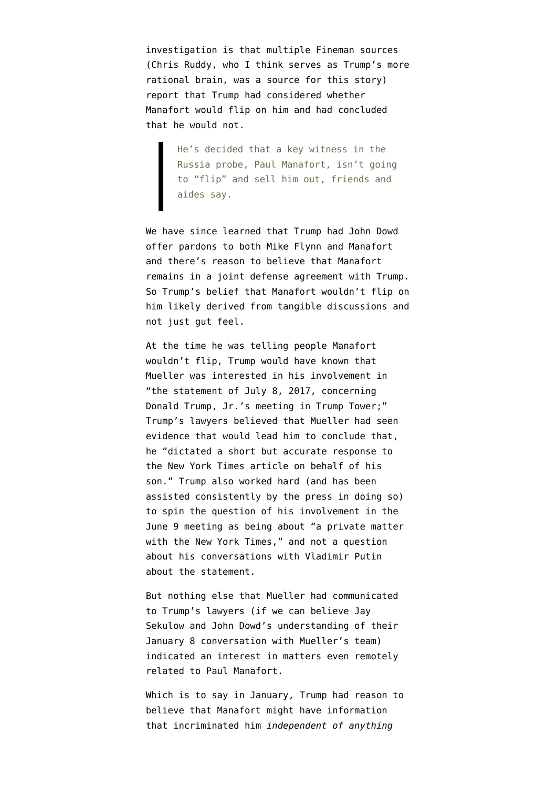investigation is that multiple Fineman sources (Chris Ruddy, who I think serves as Trump's more rational brain, was a source for this story) report that Trump had considered whether Manafort would flip on him and had concluded that he would not.

> He's decided that a key witness in the Russia probe, Paul Manafort, isn't going to "flip" and sell him out, friends and aides say.

We have since learned that Trump had John Dowd offer pardons to both Mike Flynn and Manafort and [there's reason to believe](https://www.emptywheel.net/2018/06/12/revisiting-trumps-joint-defense-agreement/) that Manafort remains in a joint defense agreement with Trump. So Trump's belief that Manafort wouldn't flip on him likely derived from tangible discussions and not just gut feel.

At the time he was telling people Manafort wouldn't flip, Trump would have known that Mueller [was interested in](https://www.emptywheel.net/2018/06/02/what-got-added-to-sekulows-list-further-obstruction-including-considering-of-firing-mueller-and-collusion/) his involvement in "the statement of July 8, 2017, concerning Donald Trump, Jr.'s meeting in Trump Tower;" Trump's lawyers [believed](https://www.emptywheel.net/2018/06/02/the-non-denial-denial-in-trumps-response-on-the-june-9-meeting-statement-did-putin-dictate-the-statement/) that Mueller had seen evidence that would lead him to conclude that, he "dictated a short but accurate response to the New York Times article on behalf of his son." Trump also worked hard (and has been assisted consistently by the press in doing so) to spin the question of his involvement in the June 9 meeting as being about "a private matter with the New York Times," and not a question about his conversations with Vladimir Putin about the statement.

But nothing else that Mueller had communicated to Trump's lawyers (if we can believe Jay Sekulow and John Dowd's understanding of their January 8 conversation with Mueller's team) indicated an interest in matters even remotely related to Paul Manafort.

Which is to say in January, Trump had reason to believe that Manafort might have information that incriminated him *independent of anything*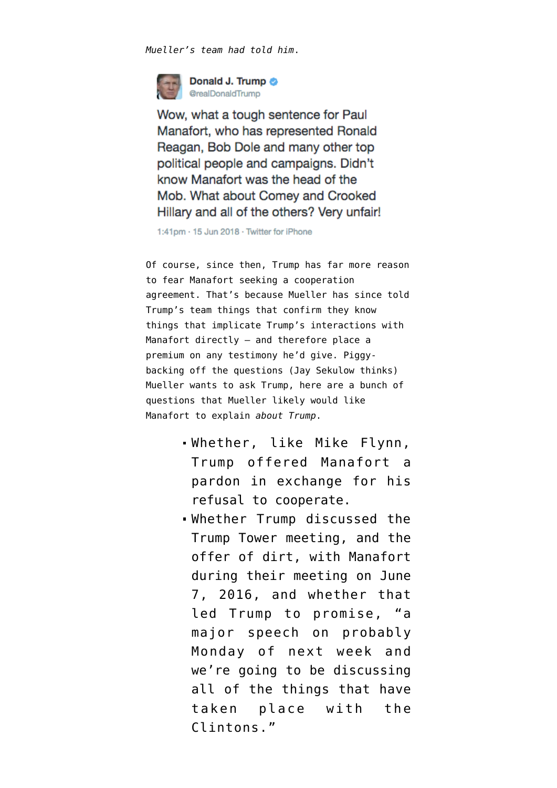*Mueller's team had told him*.



Wow, what a tough sentence for Paul Manafort, who has represented Ronald Reagan, Bob Dole and many other top political people and campaigns. Didn't know Manafort was the head of the Mob. What about Comey and Crooked Hillary and all of the others? Very unfair!

1:41pm · 15 Jun 2018 · Twitter for iPhone

Of course, since then, Trump has far more reason to fear Manafort seeking a cooperation agreement. That's because Mueller has since told Trump's team things that confirm they know things that implicate Trump's interactions with Manafort directly — and therefore place a premium on any testimony he'd give. Piggybacking off the questions (Jay Sekulow thinks) Mueller wants to ask Trump, here are a bunch of questions that Mueller likely would like Manafort to explain *about Trump*.

- Whether, like Mike Flynn, Trump offered Manafort a pardon in exchange for his refusal to cooperate.
- Whether Trump discussed the Trump Tower meeting, and the offer of dirt, with Manafort during their meeting on June 7, 2016, and whether that led Trump to [promise](https://www.weeklystandard.com/daniel-halper/trump-to-give-major-hillary-speech-monday), "a major speech on probably Monday of next week and we're going to be discussing all of the things that have taken place with the Clintons."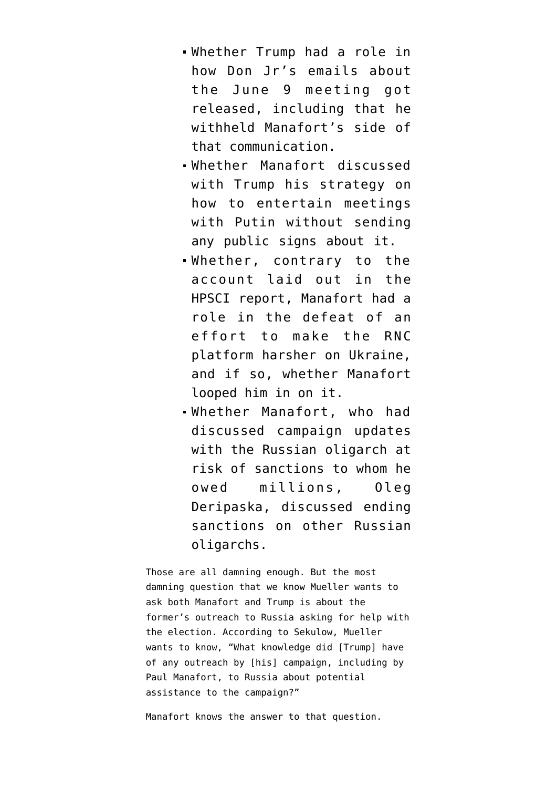- Whether Trump had a role in how Don Jr's emails about the June 9 meeting got released, including that he [withheld](https://www.emptywheel.net/2018/05/25/the-white-house-hid-paul-manaforts-enthusiasm-for-the-june-9-meeting-when-leaking-don-jrs-email/) Manafort's side of that communication.
- Whether Manafort discussed with Trump his [strategy](https://www.emptywheel.net/2018/04/30/on-manaforts-referral-of-the-papadopoulos-offers/) on how to entertain meetings with Putin without sending any public signs about it.
- Whether, [contrary to the](https://intelligence.house.gov/uploadedfiles/final_russia_investigation_report.pdf) [account laid out in the](https://intelligence.house.gov/uploadedfiles/final_russia_investigation_report.pdf) [HPSCI report,](https://intelligence.house.gov/uploadedfiles/final_russia_investigation_report.pdf) Manafort had a role in the defeat of an effort to make the RNC platform harsher on Ukraine, and if so, whether Manafort looped him in on it.
- Whether Manafort, who had discussed campaign updates with the Russian oligarch at risk of sanctions to whom he owed millions, Oleg Deripaska, discussed ending sanctions on other Russian oligarchs.

Those are all damning enough. But the most damning question that we know Mueller wants to ask both Manafort and Trump is about the former's outreach to Russia asking for help with the election. According to Sekulow, Mueller wants to know, "What knowledge did [Trump] have of any outreach by [his] campaign, including by Paul Manafort, to Russia about potential assistance to the campaign?"

Manafort knows the answer to that question.